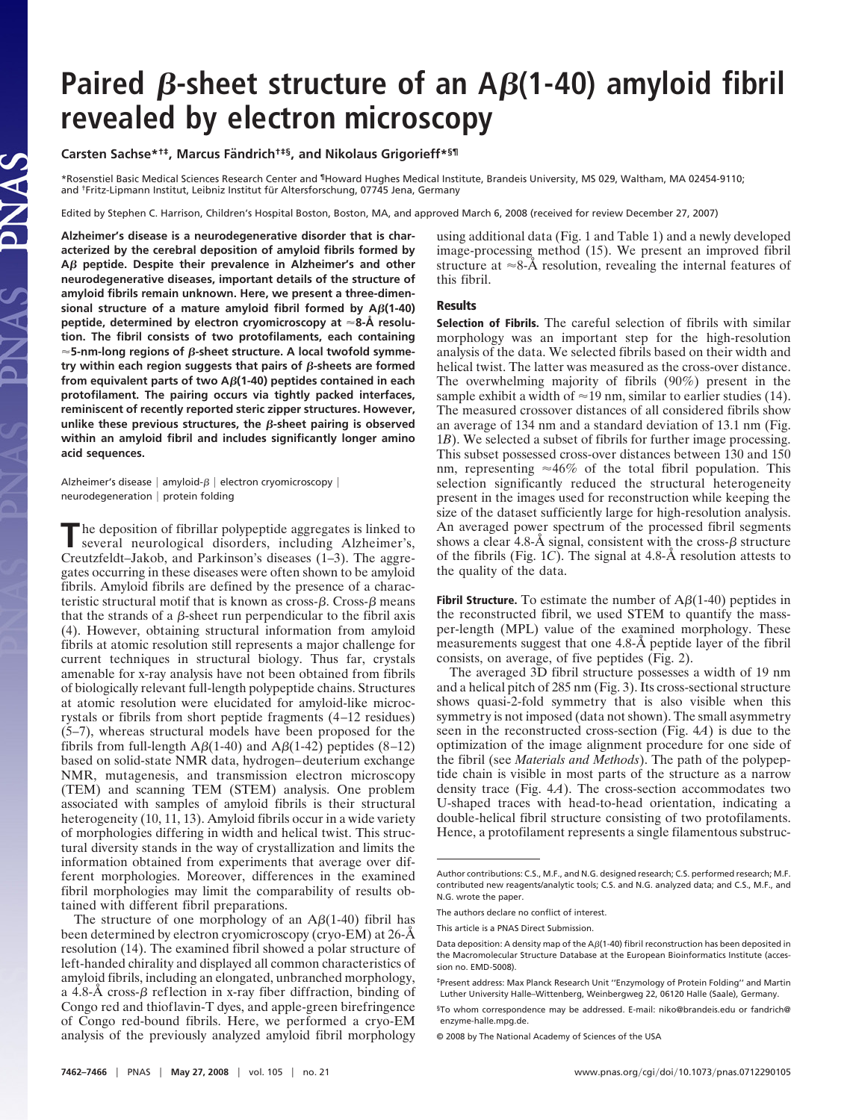# Paired  $\beta$ -sheet structure of an  $A\beta$ (1-40) amyloid fibril **revealed by electron microscopy**

# **Carsten Sachse\*†‡, Marcus Fa¨ndrich†‡§, and Nikolaus Grigorieff\*§¶**

\*Rosenstiel Basic Medical Sciences Research Center and ¶Howard Hughes Medical Institute, Brandeis University, MS 029, Waltham, MA 02454-9110; and <sup>†</sup>Fritz-Lipmann Institut, Leibniz Institut für Altersforschung, 07745 Jena, Germany

Edited by Stephen C. Harrison, Children's Hospital Boston, Boston, MA, and approved March 6, 2008 (received for review December 27, 2007)

**Alzheimer's disease is a neurodegenerative disorder that is characterized by the cerebral deposition of amyloid fibrils formed by A peptide. Despite their prevalence in Alzheimer's and other neurodegenerative diseases, important details of the structure of amyloid fibrils remain unknown. Here, we present a three-dimensional structure of a mature amyloid fibril formed by A(1-40) peptide, determined by electron cryomicroscopy at 8-Å resolution. The fibril consists of two protofilaments, each containing**  $\approx$  5-nm-long regions of  $\beta$ -sheet structure. A local twofold symmetry within each region suggests that pairs of  $\beta$ -sheets are formed **from equivalent parts of two A(1-40) peptides contained in each protofilament. The pairing occurs via tightly packed interfaces, reminiscent of recently reported steric zipper structures. However,** unlike these previous structures, the  $\beta$ -sheet pairing is observed **within an amyloid fibril and includes significantly longer amino acid sequences.**

Alzheimer's disease  $|$  amyloid- $\beta$   $|$  electron cryomicroscopy  $|$ neurodegeneration | protein folding

JAS

**T**he deposition of fibrillar polypeptide aggregates is linked to several neurological discussion several neurological disorders, including Alzheimer's, Creutzfeldt–Jakob, and Parkinson's diseases (1–3). The aggregates occurring in these diseases were often shown to be amyloid fibrils. Amyloid fibrils are defined by the presence of a characteristic structural motif that is known as cross- $\beta$ . Cross- $\beta$  means that the strands of a  $\beta$ -sheet run perpendicular to the fibril axis (4). However, obtaining structural information from amyloid fibrils at atomic resolution still represents a major challenge for current techniques in structural biology. Thus far, crystals amenable for x-ray analysis have not been obtained from fibrils of biologically relevant full-length polypeptide chains. Structures at atomic resolution were elucidated for amyloid-like microcrystals or fibrils from short peptide fragments (4–12 residues) (5–7), whereas structural models have been proposed for the fibrils from full-length  $A\beta(1-40)$  and  $A\beta(1-42)$  peptides (8–12) based on solid-state NMR data, hydrogen–deuterium exchange NMR, mutagenesis, and transmission electron microscopy (TEM) and scanning TEM (STEM) analysis. One problem associated with samples of amyloid fibrils is their structural heterogeneity (10, 11, 13). Amyloid fibrils occur in a wide variety of morphologies differing in width and helical twist. This structural diversity stands in the way of crystallization and limits the information obtained from experiments that average over different morphologies. Moreover, differences in the examined fibril morphologies may limit the comparability of results obtained with different fibril preparations.

The structure of one morphology of an  $A\beta(1-40)$  fibril has been determined by electron cryomicroscopy (cryo-EM) at 26-Å resolution (14). The examined fibril showed a polar structure of left-handed chirality and displayed all common characteristics of amyloid fibrils, including an elongated, unbranched morphology, a 4.8-Å cross- $\beta$  reflection in x-ray fiber diffraction, binding of Congo red and thioflavin-T dyes, and apple-green birefringence of Congo red-bound fibrils. Here, we performed a cryo-EM analysis of the previously analyzed amyloid fibril morphology

using additional data (Fig. 1 and Table 1) and a newly developed image-processing method (15). We present an improved fibril structure at  $\approx 8-\text{\AA}$  resolution, revealing the internal features of this fibril.

## **Results**

**Selection of Fibrils.** The careful selection of fibrils with similar morphology was an important step for the high-resolution analysis of the data. We selected fibrils based on their width and helical twist. The latter was measured as the cross-over distance. The overwhelming majority of fibrils (90%) present in the sample exhibit a width of  $\approx$  19 nm, similar to earlier studies (14). The measured crossover distances of all considered fibrils show an average of 134 nm and a standard deviation of 13.1 nm (Fig. 1*B*). We selected a subset of fibrils for further image processing. This subset possessed cross-over distances between 130 and 150 nm, representing  $\approx 46\%$  of the total fibril population. This selection significantly reduced the structural heterogeneity present in the images used for reconstruction while keeping the size of the dataset sufficiently large for high-resolution analysis. An averaged power spectrum of the processed fibril segments shows a clear 4.8- $\AA$  signal, consistent with the cross- $\beta$  structure of the fibrils (Fig. 1*C*). The signal at 4.8-Å resolution attests to the quality of the data.

**Fibril Structure.** To estimate the number of  $\mathbf{A}\beta(1-40)$  peptides in the reconstructed fibril, we used STEM to quantify the massper-length (MPL) value of the examined morphology. These measurements suggest that one 4.8-Å peptide layer of the fibril consists, on average, of five peptides (Fig. 2).

The averaged 3D fibril structure possesses a width of 19 nm and a helical pitch of 285 nm (Fig. 3). Its cross-sectional structure shows quasi-2-fold symmetry that is also visible when this symmetry is not imposed (data not shown). The small asymmetry seen in the reconstructed cross-section (Fig. 4*A*) is due to the optimization of the image alignment procedure for one side of the fibril (see *Materials and Methods*). The path of the polypeptide chain is visible in most parts of the structure as a narrow density trace (Fig. 4*A*). The cross-section accommodates two U-shaped traces with head-to-head orientation, indicating a double-helical fibril structure consisting of two protofilaments. Hence, a protofilament represents a single filamentous substruc-

Author contributions: C.S., M.F., and N.G. designed research; C.S. performed research; M.F. contributed new reagents/analytic tools; C.S. and N.G. analyzed data; and C.S., M.F., and N.G. wrote the paper.

The authors declare no conflict of interest.

This article is a PNAS Direct Submission.

Data deposition: A density map of the A $\beta$ (1-40) fibril reconstruction has been deposited in the Macromolecular Structure Database at the European Bioinformatics Institute (accession no. EMD-5008).

<sup>‡</sup>Present address: Max Planck Research Unit ''Enzymology of Protein Folding'' and Martin Luther University Halle–Wittenberg, Weinbergweg 22, 06120 Halle (Saale), Germany.

<sup>§</sup>To whom correspondence may be addressed. E-mail: niko@brandeis.edu or fandrich@ enzyme-halle.mpg.de.

<sup>© 2008</sup> by The National Academy of Sciences of the USA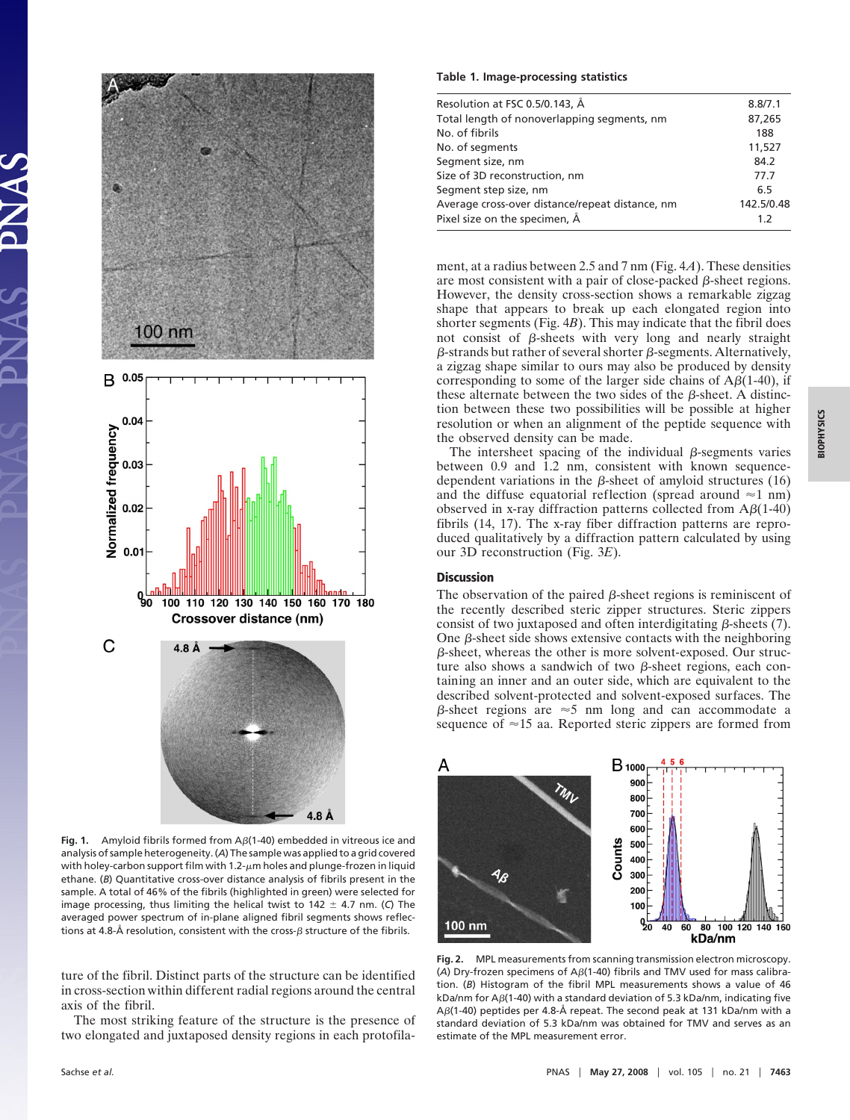

Fig. 1. Amyloid fibrils formed from  $A\beta(1-40)$  embedded in vitreous ice and analysis of sample heterogeneity. (*A*) The sample was applied to a grid covered with holey-carbon support film with 1.2- $\mu$ m holes and plunge-frozen in liquid ethane. (*B*) Quantitative cross-over distance analysis of fibrils present in the sample. A total of 46% of the fibrils (highlighted in green) were selected for image processing, thus limiting the helical twist to  $142 \pm 4.7$  nm. (C) The averaged power spectrum of in-plane aligned fibril segments shows reflections at 4.8-Å resolution, consistent with the cross- $\beta$  structure of the fibrils.

ture of the fibril. Distinct parts of the structure can be identified in cross-section within different radial regions around the central axis of the fibril.

The most striking feature of the structure is the presence of two elongated and juxtaposed density regions in each protofila-

#### **Table 1. Image-processing statistics**

| Resolution at FSC 0.5/0.143, Å                  | 8.8/7.1    |
|-------------------------------------------------|------------|
| Total length of nonoverlapping segments, nm     | 87,265     |
| No. of fibrils                                  | 188        |
| No. of segments                                 | 11,527     |
| Segment size, nm                                | 84.2       |
| Size of 3D reconstruction, nm                   | 77.7       |
| Segment step size, nm                           | 6.5        |
| Average cross-over distance/repeat distance, nm | 142.5/0.48 |
| Pixel size on the specimen, Å                   | 1.2        |

ment, at a radius between 2.5 and 7 nm (Fig. 4*A*). These densities are most consistent with a pair of close-packed  $\beta$ -sheet regions. However, the density cross-section shows a remarkable zigzag shape that appears to break up each elongated region into shorter segments (Fig. 4*B*). This may indicate that the fibril does not consist of  $\beta$ -sheets with very long and nearly straight  $\beta$ -strands but rather of several shorter  $\beta$ -segments. Alternatively, a zigzag shape similar to ours may also be produced by density corresponding to some of the larger side chains of  $A\beta(1-40)$ , if these alternate between the two sides of the  $\beta$ -sheet. A distinction between these two possibilities will be possible at higher resolution or when an alignment of the peptide sequence with the observed density can be made.

The intersheet spacing of the individual  $\beta$ -segments varies between 0.9 and 1.2 nm, consistent with known sequencedependent variations in the  $\beta$ -sheet of amyloid structures (16) and the diffuse equatorial reflection (spread around  $\approx$ 1 nm) observed in x-ray diffraction patterns collected from  $A\beta(1-40)$ fibrils (14, 17). The x-ray fiber diffraction patterns are reproduced qualitatively by a diffraction pattern calculated by using our 3D reconstruction (Fig. 3*E*).

## **Discussion**

The observation of the paired  $\beta$ -sheet regions is reminiscent of the recently described steric zipper structures. Steric zippers consist of two juxtaposed and often interdigitating  $\beta$ -sheets (7). One  $\beta$ -sheet side shows extensive contacts with the neighboring  $\beta$ -sheet, whereas the other is more solvent-exposed. Our structure also shows a sandwich of two  $\beta$ -sheet regions, each containing an inner and an outer side, which are equivalent to the described solvent-protected and solvent-exposed surfaces. The  $\beta$ -sheet regions are  $\approx$  5 nm long and can accommodate a sequence of  $\approx$ 15 aa. Reported steric zippers are formed from



**Fig. 2.** MPL measurements from scanning transmission electron microscopy. (A) Dry-frozen specimens of  $A\beta(1-40)$  fibrils and TMV used for mass calibration. (*B*) Histogram of the fibril MPL measurements shows a value of 46 kDa/nm for A $\beta$ (1-40) with a standard deviation of 5.3 kDa/nm, indicating five A $\beta$ (1-40) peptides per 4.8-Å repeat. The second peak at 131 kDa/nm with a standard deviation of 5.3 kDa/nm was obtained for TMV and serves as an estimate of the MPL measurement error.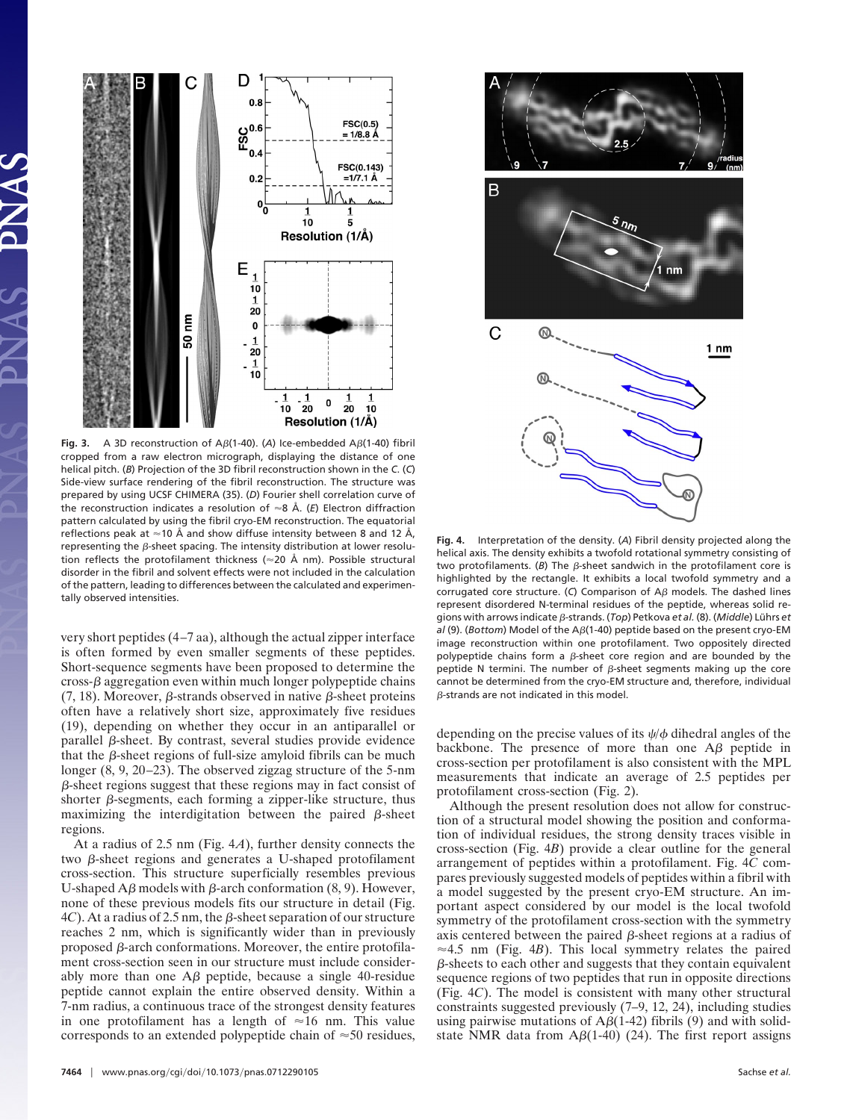

Fig. 3. A 3D reconstruction of A $\beta$ (1-40). (A) Ice-embedded A $\beta$ (1-40) fibril cropped from a raw electron micrograph, displaying the distance of one helical pitch. (*B*) Projection of the 3D fibril reconstruction shown in the *C*. (*C*) Side-view surface rendering of the fibril reconstruction. The structure was prepared by using UCSF CHIMERA (35). (*D*) Fourier shell correlation curve of the reconstruction indicates a resolution of  $\approx$ 8 Å. (*E*) Electron diffraction pattern calculated by using the fibril cryo-EM reconstruction. The equatorial reflections peak at  $\approx$  10 Å and show diffuse intensity between 8 and 12 Å, representing the  $\beta$ -sheet spacing. The intensity distribution at lower resolution reflects the protofilament thickness ( $\approx$ 20 Å nm). Possible structural disorder in the fibril and solvent effects were not included in the calculation of the pattern, leading to differences between the calculated and experimentally observed intensities.

very short peptides (4–7 aa), although the actual zipper interface is often formed by even smaller segments of these peptides. Short-sequence segments have been proposed to determine the  $\cos\theta$  aggregation even within much longer polypeptide chains (7, 18). Moreover,  $\beta$ -strands observed in native  $\beta$ -sheet proteins often have a relatively short size, approximately five residues (19), depending on whether they occur in an antiparallel or parallel  $\beta$ -sheet. By contrast, several studies provide evidence that the  $\beta$ -sheet regions of full-size amyloid fibrils can be much longer (8, 9, 20–23). The observed zigzag structure of the 5-nm  $\beta$ -sheet regions suggest that these regions may in fact consist of shorter  $\beta$ -segments, each forming a zipper-like structure, thus maximizing the interdigitation between the paired  $\beta$ -sheet regions.

At a radius of 2.5 nm (Fig. 4*A*), further density connects the two  $\beta$ -sheet regions and generates a U-shaped protofilament cross-section. This structure superficially resembles previous U-shaped A $\beta$  models with  $\beta$ -arch conformation (8, 9). However, none of these previous models fits our structure in detail (Fig.  $4*C*$ ). At a radius of 2.5 nm, the  $\beta$ -sheet separation of our structure reaches 2 nm, which is significantly wider than in previously proposed  $\beta$ -arch conformations. Moreover, the entire protofilament cross-section seen in our structure must include considerably more than one  $\Delta\beta$  peptide, because a single 40-residue peptide cannot explain the entire observed density. Within a 7-nm radius, a continuous trace of the strongest density features in one protofilament has a length of  $\approx 16$  nm. This value corresponds to an extended polypeptide chain of  $\approx 50$  residues,



**Fig. 4.** Interpretation of the density. (*A*) Fibril density projected along the helical axis. The density exhibits a twofold rotational symmetry consisting of two protofilaments. ( $B$ ) The  $\beta$ -sheet sandwich in the protofilament core is highlighted by the rectangle. It exhibits a local twofold symmetry and a corrugated core structure. (C) Comparison of  $A\beta$  models. The dashed lines represent disordered N-terminal residues of the peptide, whereas solid regions with arrows indicate β-strands. (*Top*) Petkova *et al.* (8). (*Middle*) Lührs *et al* (9). (*Bottom*) Model of the A<sub>B</sub>(1-40) peptide based on the present cryo-EM image reconstruction within one protofilament. Two oppositely directed polypeptide chains form a  $\beta$ -sheet core region and are bounded by the peptide N termini. The number of  $\beta$ -sheet segments making up the core cannot be determined from the cryo-EM structure and, therefore, individual  $\beta$ -strands are not indicated in this model.

depending on the precise values of its  $\psi/\phi$  dihedral angles of the backbone. The presence of more than one  $\overrightarrow{AB}$  peptide in cross-section per protofilament is also consistent with the MPL measurements that indicate an average of 2.5 peptides per protofilament cross-section (Fig. 2).

Although the present resolution does not allow for construction of a structural model showing the position and conformation of individual residues, the strong density traces visible in cross-section (Fig. 4*B*) provide a clear outline for the general arrangement of peptides within a protofilament. Fig. 4*C* compares previously suggested models of peptides within a fibril with a model suggested by the present cryo-EM structure. An important aspect considered by our model is the local twofold symmetry of the protofilament cross-section with the symmetry axis centered between the paired  $\beta$ -sheet regions at a radius of  $\approx$  4.5 nm (Fig. 4*B*). This local symmetry relates the paired  $\beta$ -sheets to each other and suggests that they contain equivalent sequence regions of two peptides that run in opposite directions (Fig. 4*C*). The model is consistent with many other structural constraints suggested previously (7–9, 12, 24), including studies using pairwise mutations of  $A\beta(1-42)$  fibrils (9) and with solidstate NMR data from  $A\beta(1-40)$  (24). The first report assigns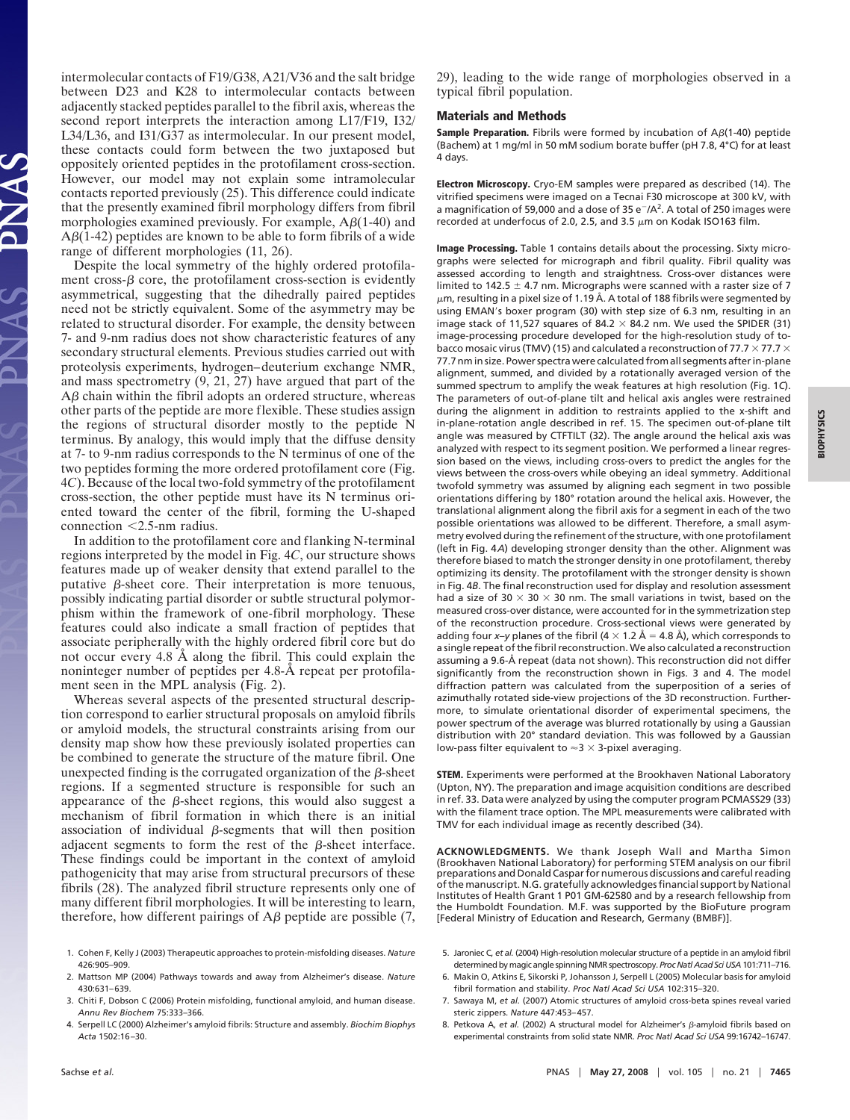intermolecular contacts of F19/G38, A21/V36 and the salt bridge between D23 and K28 to intermolecular contacts between adjacently stacked peptides parallel to the fibril axis, whereas the second report interprets the interaction among L17/F19, I32/ L34/L36, and I31/G37 as intermolecular. In our present model, these contacts could form between the two juxtaposed but oppositely oriented peptides in the protofilament cross-section. However, our model may not explain some intramolecular contacts reported previously (25). This difference could indicate that the presently examined fibril morphology differs from fibril morphologies examined previously. For example,  $A\beta(1-40)$  and  $A\beta(1-42)$  peptides are known to be able to form fibrils of a wide range of different morphologies (11, 26).

Despite the local symmetry of the highly ordered protofilament cross- $\beta$  core, the protofilament cross-section is evidently asymmetrical, suggesting that the dihedrally paired peptides need not be strictly equivalent. Some of the asymmetry may be related to structural disorder. For example, the density between 7- and 9-nm radius does not show characteristic features of any secondary structural elements. Previous studies carried out with proteolysis experiments, hydrogen–deuterium exchange NMR, and mass spectrometry (9, 21, 27) have argued that part of the  $A\beta$  chain within the fibril adopts an ordered structure, whereas other parts of the peptide are more flexible. These studies assign the regions of structural disorder mostly to the peptide N terminus. By analogy, this would imply that the diffuse density at 7- to 9-nm radius corresponds to the N terminus of one of the two peptides forming the more ordered protofilament core (Fig. 4*C*). Because of the local two-fold symmetry of the protofilament cross-section, the other peptide must have its N terminus oriented toward the center of the fibril, forming the U-shaped connection  $< 2.5$ -nm radius.

In addition to the protofilament core and flanking N-terminal regions interpreted by the model in Fig. 4*C*, our structure shows features made up of weaker density that extend parallel to the putative  $\beta$ -sheet core. Their interpretation is more tenuous, possibly indicating partial disorder or subtle structural polymorphism within the framework of one-fibril morphology. These features could also indicate a small fraction of peptides that associate peripherally with the highly ordered fibril core but do not occur every 4.8 Å along the fibril. This could explain the noninteger number of peptides per 4.8-Å repeat per protofilament seen in the MPL analysis (Fig. 2).

Whereas several aspects of the presented structural description correspond to earlier structural proposals on amyloid fibrils or amyloid models, the structural constraints arising from our density map show how these previously isolated properties can be combined to generate the structure of the mature fibril. One unexpected finding is the corrugated organization of the  $\beta$ -sheet regions. If a segmented structure is responsible for such an appearance of the  $\beta$ -sheet regions, this would also suggest a mechanism of fibril formation in which there is an initial association of individual  $\beta$ -segments that will then position adjacent segments to form the rest of the  $\beta$ -sheet interface. These findings could be important in the context of amyloid pathogenicity that may arise from structural precursors of these fibrils (28). The analyzed fibril structure represents only one of many different fibril morphologies. It will be interesting to learn, therefore, how different pairings of  $A\beta$  peptide are possible (7,

- 1. Cohen F, Kelly J (2003) Therapeutic approaches to protein-misfolding diseases. *Nature* 426:905–909.
- 2. Mattson MP (2004) Pathways towards and away from Alzheimer's disease. *Nature* 430:631–639.
- 3. Chiti F, Dobson C (2006) Protein misfolding, functional amyloid, and human disease. *Annu Rev Biochem* 75:333–366.
- 4. Serpell LC (2000) Alzheimer's amyloid fibrils: Structure and assembly. *Biochim Biophys Acta* 1502:16–30.

29), leading to the wide range of morphologies observed in a typical fibril population.

#### **Materials and Methods**

**Sample Preparation.** Fibrils were formed by incubation of  $A\beta(1-40)$  peptide (Bachem) at 1 mg/ml in 50 mM sodium borate buffer (pH 7.8, 4°C) for at least 4 days.

**Electron Microscopy.** Cryo-EM samples were prepared as described (14). The vitrified specimens were imaged on a Tecnai F30 microscope at 300 kV, with a magnification of 59,000 and a dose of 35  $e^-/A^2$ . A total of 250 images were recorded at underfocus of 2.0, 2.5, and 3.5  $\mu$ m on Kodak ISO163 film.

**Image Processing.** Table 1 contains details about the processing. Sixty micrographs were selected for micrograph and fibril quality. Fibril quality was assessed according to length and straightness. Cross-over distances were limited to 142.5  $\pm$  4.7 nm. Micrographs were scanned with a raster size of 7  $\mu$ m, resulting in a pixel size of 1.19 Å. A total of 188 fibrils were segmented by using EMAN's boxer program (30) with step size of 6.3 nm, resulting in an image stack of 11,527 squares of 84.2  $\times$  84.2 nm. We used the SPIDER (31) image-processing procedure developed for the high-resolution study of tobacco mosaic virus (TMV) (15) and calculated a reconstruction of 77.7  $\times$  77.7  $\times$ 77.7 nm in size. Power spectra were calculated from all segments after in-plane alignment, summed, and divided by a rotationally averaged version of the summed spectrum to amplify the weak features at high resolution (Fig. 1*C*). The parameters of out-of-plane tilt and helical axis angles were restrained during the alignment in addition to restraints applied to the x-shift and in-plane-rotation angle described in ref. 15. The specimen out-of-plane tilt angle was measured by CTFTILT (32). The angle around the helical axis was analyzed with respect to its segment position. We performed a linear regression based on the views, including cross-overs to predict the angles for the views between the cross-overs while obeying an ideal symmetry. Additional twofold symmetry was assumed by aligning each segment in two possible orientations differing by 180° rotation around the helical axis. However, the translational alignment along the fibril axis for a segment in each of the two possible orientations was allowed to be different. Therefore, a small asymmetry evolved during the refinement of the structure, with one protofilament (left in Fig. 4*A*) developing stronger density than the other. Alignment was therefore biased to match the stronger density in one protofilament, thereby optimizing its density. The protofilament with the stronger density is shown in Fig. 4*B*. The final reconstruction used for display and resolution assessment had a size of 30  $\times$  30  $\times$  30 nm. The small variations in twist, based on the measured cross-over distance, were accounted for in the symmetrization step of the reconstruction procedure. Cross-sectional views were generated by adding four *x*–*y* planes of the fibril ( $4 \times 1.2$  Å = 4.8 Å), which corresponds to a single repeat of the fibril reconstruction. We also calculated a reconstruction assuming a 9.6-Å repeat (data not shown). This reconstruction did not differ significantly from the reconstruction shown in Figs. 3 and 4. The model diffraction pattern was calculated from the superposition of a series of azimuthally rotated side-view projections of the 3D reconstruction. Furthermore, to simulate orientational disorder of experimental specimens, the power spectrum of the average was blurred rotationally by using a Gaussian distribution with 20° standard deviation. This was followed by a Gaussian low-pass filter equivalent to  $\approx$ 3  $\times$  3-pixel averaging.

**STEM.** Experiments were performed at the Brookhaven National Laboratory (Upton, NY). The preparation and image acquisition conditions are described in ref. 33. Data were analyzed by using the computer program PCMASS29 (33) with the filament trace option. The MPL measurements were calibrated with TMV for each individual image as recently described (34).

**ACKNOWLEDGMENTS.** We thank Joseph Wall and Martha Simon (Brookhaven National Laboratory) for performing STEM analysis on our fibril preparations and Donald Caspar for numerous discussions and careful reading of the manuscript. N.G. gratefully acknowledges financial support by National Institutes of Health Grant 1 P01 GM-62580 and by a research fellowship from the Humboldt Foundation. M.F. was supported by the BioFuture program [Federal Ministry of Education and Research, Germany (BMBF)].

- 5. Jaroniec C, *et al.* (2004) High-resolution molecular structure of a peptide in an amyloid fibril determined by magic angle spinning NMR spectroscopy. *Proc Natl Acad Sci USA* 101:711–716.
- 6. Makin O, Atkins E, Sikorski P, Johansson J, Serpell L (2005) Molecular basis for amyloid fibril formation and stability. *Proc Natl Acad Sci USA* 102:315–320.
- 7. Sawaya M, *et al.* (2007) Atomic structures of amyloid cross-beta spines reveal varied steric zippers. *Nature* 447:453–457.
- 8. Petkova A, et al. (2002) A structural model for Alzheimer's  $\beta$ -amyloid fibrils based on experimental constraints from solid state NMR. *Proc Natl Acad Sci USA* 99:16742–16747.